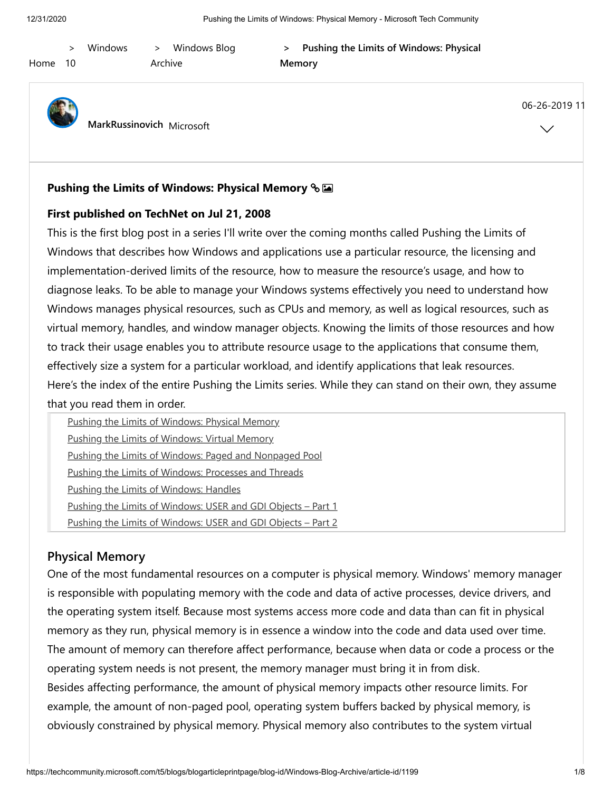| Home | 10 | <b>Windows Blog</b><br>Windows<br>$\geq$<br>Archive | Pushing the Limits of Windows: Physical<br>><br>Memory |                               |
|------|----|-----------------------------------------------------|--------------------------------------------------------|-------------------------------|
|      |    | MarkRussinovich Microsoft                           |                                                        | 06-26-2019 11<br>$\checkmark$ |

### **[Pushing the Limits of Windows: Physical Memory](https://techcommunity.microsoft.com/t5/windows-blog-archive/pushing-the-limits-of-windows-physical-memory/ba-p/723674)**

#### **First published on TechNet on Jul 21, 2008**

This is the first blog post in a series I'll write over the coming months called Pushing the Limits of Windows that describes how Windows and applications use a particular resource, the licensing and implementation-derived limits of the resource, how to measure the resource's usage, and how to diagnose leaks. To be able to manage your Windows systems effectively you need to understand how Windows manages physical resources, such as CPUs and memory, as well as logical resources, such as virtual memory, handles, and window manager objects. Knowing the limits of those resources and how to track their usage enables you to attribute resource usage to the applications that consume them, effectively size a system for a particular workload, and identify applications that leak resources. Here's the index of the entire Pushing the Limits series. While they can stand on their own, they assume that you read them in order.

| Pushing the Limits of Windows: Physical Memory               |  |
|--------------------------------------------------------------|--|
| <b>Pushing the Limits of Windows: Virtual Memory</b>         |  |
| Pushing the Limits of Windows: Paged and Nonpaged Pool       |  |
| <b>Pushing the Limits of Windows: Processes and Threads</b>  |  |
| <b>Pushing the Limits of Windows: Handles</b>                |  |
| Pushing the Limits of Windows: USER and GDI Objects - Part 1 |  |
| Pushing the Limits of Windows: USER and GDI Objects - Part 2 |  |

### **Physical Memory**

One of the most fundamental resources on a computer is physical memory. Windows' memory manager is responsible with populating memory with the code and data of active processes, device drivers, and the operating system itself. Because most systems access more code and data than can fit in physical memory as they run, physical memory is in essence a window into the code and data used over time. The amount of memory can therefore affect performance, because when data or code a process or the operating system needs is not present, the memory manager must bring it in from disk. Besides affecting performance, the amount of physical memory impacts other resource limits. For example, the amount of non-paged pool, operating system buffers backed by physical memory, is obviously constrained by physical memory. Physical memory also contributes to the system virtual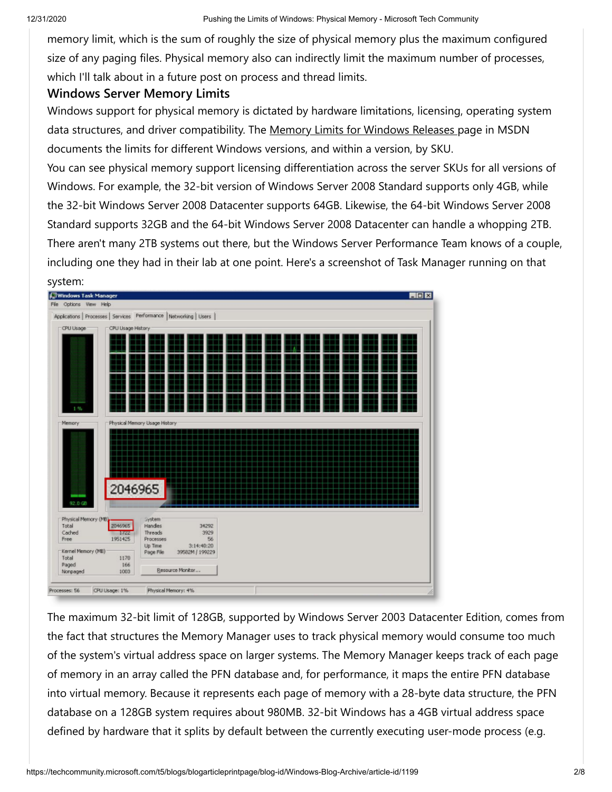memory limit, which is the sum of roughly the size of physical memory plus the maximum configured size of any paging files. Physical memory also can indirectly limit the maximum number of processes, which I'll talk about in a future post on process and thread limits.

## **Windows Server Memory Limits**

Windows support for physical memory is dictated by hardware limitations, licensing, operating system data structures, and driver compatibility. The [Memory Limits for Windows Releases p](http://msdn.microsoft.com/en-us/library/aa366778.aspx)age in MSDN documents the limits for different Windows versions, and within a version, by SKU.

You can see physical memory support licensing differentiation across the server SKUs for all versions of Windows. For example, the 32-bit version of Windows Server 2008 Standard supports only 4GB, while the 32-bit Windows Server 2008 Datacenter supports 64GB. Likewise, the 64-bit Windows Server 2008 Standard supports 32GB and the 64-bit Windows Server 2008 Datacenter can handle a whopping 2TB. There aren't many 2TB systems out there, but the Windows Server Performance Team knows of a couple, including one they had in their lab at one point. Here's a screenshot of Task Manager running on that



The maximum 32-bit limit of 128GB, supported by Windows Server 2003 Datacenter Edition, comes from the fact that structures the Memory Manager uses to track physical memory would consume too much of the system's virtual address space on larger systems. The Memory Manager keeps track of each page of memory in an array called the PFN database and, for performance, it maps the entire PFN database into virtual memory. Because it represents each page of memory with a 28-byte data structure, the PFN database on a 128GB system requires about 980MB. 32-bit Windows has a 4GB virtual address space defined by hardware that it splits by default between the currently executing user-mode process (e.g.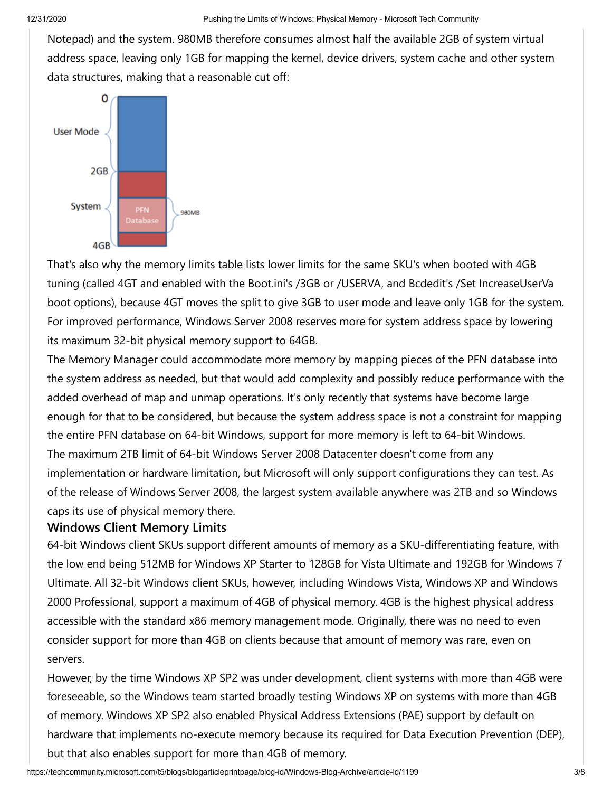Notepad) and the system. 980MB therefore consumes almost half the available 2GB of system virtual address space, leaving only 1GB for mapping the kernel, device drivers, system cache and other system data structures, making that a reasonable cut off:



That's also why the memory limits table lists lower limits for the same SKU's when booted with 4GB tuning (called 4GT and enabled with the Boot.ini's /3GB or /USERVA, and Bcdedit's /Set IncreaseUserVa boot options), because 4GT moves the split to give 3GB to user mode and leave only 1GB for the system. For improved performance, Windows Server 2008 reserves more for system address space by lowering its maximum 32-bit physical memory support to 64GB.

The Memory Manager could accommodate more memory by mapping pieces of the PFN database into the system address as needed, but that would add complexity and possibly reduce performance with the added overhead of map and unmap operations. It's only recently that systems have become large enough for that to be considered, but because the system address space is not a constraint for mapping the entire PFN database on 64-bit Windows, support for more memory is left to 64-bit Windows. The maximum 2TB limit of 64-bit Windows Server 2008 Datacenter doesn't come from any implementation or hardware limitation, but Microsoft will only support configurations they can test. As of the release of Windows Server 2008, the largest system available anywhere was 2TB and so Windows caps its use of physical memory there.

### **Windows Client Memory Limits**

64-bit Windows client SKUs support different amounts of memory as a SKU-differentiating feature, with the low end being 512MB for Windows XP Starter to 128GB for Vista Ultimate and 192GB for Windows 7 Ultimate. All 32-bit Windows client SKUs, however, including Windows Vista, Windows XP and Windows 2000 Professional, support a maximum of 4GB of physical memory. 4GB is the highest physical address accessible with the standard x86 memory management mode. Originally, there was no need to even consider support for more than 4GB on clients because that amount of memory was rare, even on servers.

However, by the time Windows XP SP2 was under development, client systems with more than 4GB were foreseeable, so the Windows team started broadly testing Windows XP on systems with more than 4GB of memory. Windows XP SP2 also enabled Physical Address Extensions (PAE) support by default on hardware that implements no-execute memory because its required for Data Execution Prevention (DEP), but that also enables support for more than 4GB of memory.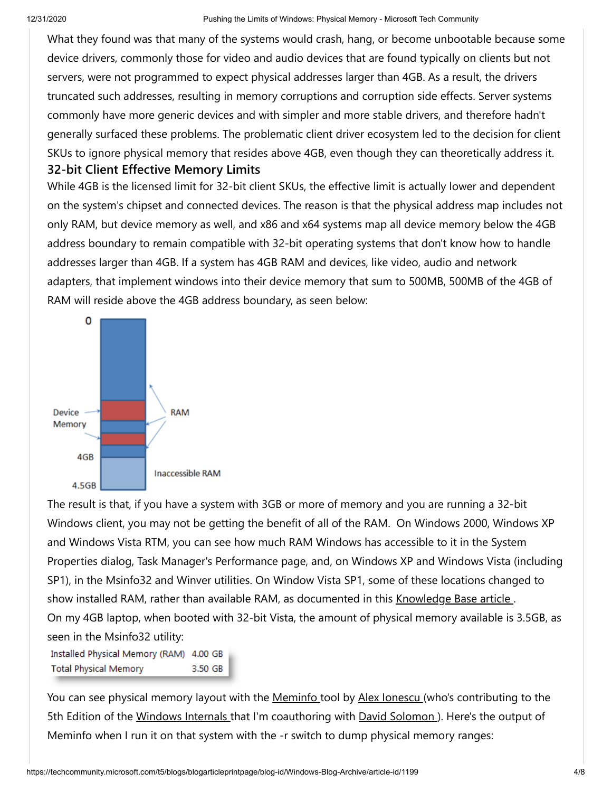What they found was that many of the systems would crash, hang, or become unbootable because some device drivers, commonly those for video and audio devices that are found typically on clients but not servers, were not programmed to expect physical addresses larger than 4GB. As a result, the drivers truncated such addresses, resulting in memory corruptions and corruption side effects. Server systems commonly have more generic devices and with simpler and more stable drivers, and therefore hadn't generally surfaced these problems. The problematic client driver ecosystem led to the decision for client SKUs to ignore physical memory that resides above 4GB, even though they can theoretically address it. **32-bit Client Effective Memory Limits**

While 4GB is the licensed limit for 32-bit client SKUs, the effective limit is actually lower and dependent on the system's chipset and connected devices. The reason is that the physical address map includes not only RAM, but device memory as well, and x86 and x64 systems map all device memory below the 4GB address boundary to remain compatible with 32-bit operating systems that don't know how to handle addresses larger than 4GB. If a system has 4GB RAM and devices, like video, audio and network adapters, that implement windows into their device memory that sum to 500MB, 500MB of the 4GB of RAM will reside above the 4GB address boundary, as seen below:



The result is that, if you have a system with 3GB or more of memory and you are running a 32-bit Windows client, you may not be getting the benefit of all of the RAM. On Windows 2000, Windows XP and Windows Vista RTM, you can see how much RAM Windows has accessible to it in the System Properties dialog, Task Manager's Performance page, and, on Windows XP and Windows Vista (including SP1), in the Msinfo32 and Winver utilities. On Window Vista SP1, some of these locations changed to show installed RAM, rather than available RAM, as documented in this Knowledge Base article. On my 4GB laptop, when booted with 32-bit Vista, the amount of physical memory available is 3.5GB, as seen in the Msinfo32 utility:

Installed Physical Memory (RAM) 4.00 GB **Total Physical Memory** 3.50 GB

You can see physical memory layout with the [Meminfo t](http://www.winsiderss.com/tools/meminfo/meminfo.htm)ool by [Alex Ionescu \(](http://www.alex-ionescu.com/)who's contributing to the 5th Edition of the [Windows Internals t](http://technet.microsoft.com/en-us/sysinternals/bb963901.aspx)hat I'm coauthoring with David Solomon). Here's the output of Meminfo when I run it on that system with the -r switch to dump physical memory ranges: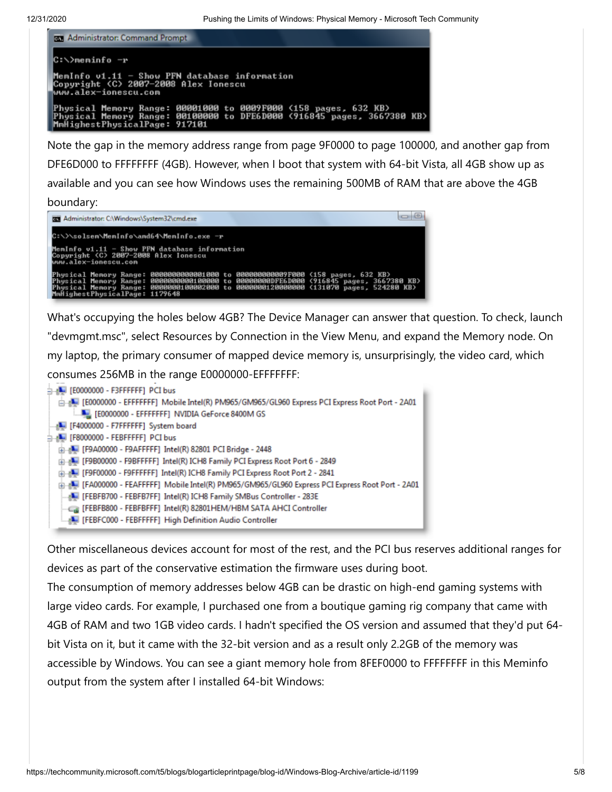| <b>DET</b> Administrator: Command Prompt |  |  |                                      |  |                                                                                                                                           |  |  |
|------------------------------------------|--|--|--------------------------------------|--|-------------------------------------------------------------------------------------------------------------------------------------------|--|--|
| C:∖>meminfo −r                           |  |  |                                      |  |                                                                                                                                           |  |  |
| www.alex-ionescu.com                     |  |  | Copyright (C) 2007-2008 Alex Ionescu |  | MemInfo v1.11 - Show PFN database information                                                                                             |  |  |
| MmHighestPhysicalPage: 917101            |  |  |                                      |  | Physical Memory Range: 00001000 to 0009F000 (158 pages, 632 KB)<br>Physical Memory Range: 00100000 to DFE6D000 <916845 pages, 3667380 KB> |  |  |

Note the gap in the memory address range from page 9F0000 to page 100000, and another gap from DFE6D000 to FFFFFFFF (4GB). However, when I boot that system with 64-bit Vista, all 4GB show up as available and you can see how Windows uses the remaining 500MB of RAM that are above the 4GB

boundary:

| <b>EXT</b> Administrator: C:\Windows\System32\cmd.exe                                                         | $\alpha$                                                                                                                                                                                                                                                                                               |  |  |  |
|---------------------------------------------------------------------------------------------------------------|--------------------------------------------------------------------------------------------------------------------------------------------------------------------------------------------------------------------------------------------------------------------------------------------------------|--|--|--|
| C:\>\solsen\MemInfo\and64\MemInfo.exe -r                                                                      |                                                                                                                                                                                                                                                                                                        |  |  |  |
| MemInfo v1.11 - Show PFN database information<br>Copyright (C) 2007-2008 Alex Ionescu<br>www.alex-ionescu.com |                                                                                                                                                                                                                                                                                                        |  |  |  |
|                                                                                                               | Physical Memory Range: 00000000000001000 to 000000000009F000 (158 pages, 632 KB)<br>Physical Memory Range: 0000000000100000 to 00000000DFE6D000 (916845 pages, 3667380 KB)<br>Physical Memory Range: 0000000100002000 to 00000000120000000 \716645 pages, 3667380 KB<br>MmHighestPhysicalPage: 1179648 |  |  |  |

What's occupying the holes below 4GB? The Device Manager can answer that question. To check, launch "devmgmt.msc", select Resources by Connection in the View Menu, and expand the Memory node. On my laptop, the primary consumer of mapped device memory is, unsurprisingly, the video card, which consumes 256MB in the range E0000000-EFFFFFFF:

| <b>h-n-</b> [E0000000 - F3FFFFFF] PCI bus                                                             |  |
|-------------------------------------------------------------------------------------------------------|--|
| E0000000 - EFFFFFFFF Mobile Intel(R) PM965/GM965/GL960 Express PCI Express Root Port - 2A01           |  |
| [E0000000 - EFFFFFFF] NVIDIA GeForce 8400M GS                                                         |  |
| [F4000000 - F7FFFFFF] System board                                                                    |  |
| 白   [F8000000 - FEBFFFFF] PCI bus                                                                     |  |
| E [F9A00000 - F9AFFFFF] Intel(R) 82801 PCI Bridge - 2448                                              |  |
| EDIE [F9B00000 - F9BFFFFF] Intel(R) ICH8 Family PCI Express Root Port 6 - 2849                        |  |
| [P9F00000 - F9FFFFFF] Intel(R) ICH8 Family PCI Express Root Port 2 - 2841                             |  |
| FA000000 - FEAFFFFF] Mobile Intel(R) PM965/GM965/GL960 Express PCI Express Root Port - 2A01 [1] [1] ا |  |
| [FEBFB700 - FEBFB7FF] Intel(R) ICH8 Family SMBus Controller - 283E                                    |  |
| FEBFB800 - FEBFBFFF] Intel(R) 82801HEM/HBM SATA AHCI Controller                                       |  |
| [FEBFC000 - FEBFFFFF] High Definition Audio Controller                                                |  |

Other miscellaneous devices account for most of the rest, and the PCI bus reserves additional ranges for devices as part of the conservative estimation the firmware uses during boot.

The consumption of memory addresses below 4GB can be drastic on high-end gaming systems with large video cards. For example, I purchased one from a boutique gaming rig company that came with 4GB of RAM and two 1GB video cards. I hadn't specified the OS version and assumed that they'd put 64 bit Vista on it, but it came with the 32-bit version and as a result only 2.2GB of the memory was accessible by Windows. You can see a giant memory hole from 8FEF0000 to FFFFFFFF in this Meminfo output from the system after I installed 64-bit Windows: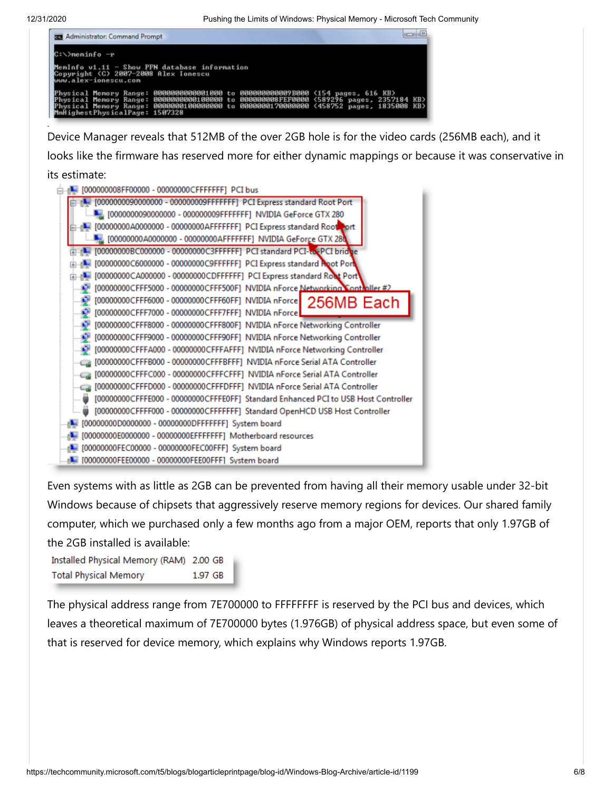12/31/2020 Pushing the Limits of Windows: Physical Memory - Microsoft Tech Community



Device Manager reveals that 512MB of the over 2GB hole is for the video cards (256MB each), and it looks like the firmware has reserved more for either dynamic mappings or because it was conservative in its estimate:

| [0000000090000000 - 000000009FFFFFFF] PCI Express standard Root Port<br>[0000000090000000 - 000000009FFFFFFF] NVIDIA GeForce GTX 280<br>[00000000A0000000 - 00000000AFFFFFFF] PCI Express standard Root port<br>[00000000BC000000 - 00000000C3FFFFFF] PCI standard PCI-to-PCI bridge<br>[00000000C6000000 - 00000000C9FFFFFF] PCI Express standard Root Port<br>[00000000CA000000 - 00000000CDFFFFFF] PCI Express standard Root Port<br>[00000000CFFF5000 - 00000000CFFF500F] NVIDIA nForce Networking Contraller #2<br>[00000000CFFF6000 - 00000000CFFF60FF] NVIDIA nForce   256MB Each<br>[00000000CFFF7000 - 00000000CFFF7FFF] NVIDIA nForce<br>[00000000CFFF8000 - 00000000CFFF800F] NVIDIA nForce Networking Controller<br>[00000000CFFF9000 - 00000000CFFF90FF] NVIDIA nForce Networking Controller<br>[00000000CFFFA000 - 00000000CFFFAFFF] NVIDIA nForce Networking Controller<br>[00000000CFFFB000 - 00000000CFFFBFFF] NVIDIA nForce Serial ATA Controller<br>[00000000CFFFC000 - 00000000CFFFCFFF] NVIDIA nForce Serial ATA Controller<br>[00000000CFFFD000 - 00000000CFFFDFFF] NVIDIA nForce Serial ATA Controller<br>[00000000CFFFE000 - 00000000CFFFE0FF] Standard Enhanced PCI to USB Host Controller<br>[00000000CFFFF000 - 00000000CFFFFFFF] Standard OpenHCD USB Host Controller<br>[00000000D0000000 - 00000000DFFFFFFF] System board<br>[00000000E0000000 - 00000000EFFFFFFF] Motherboard resources<br>[00000000FEC00000 - 00000000FEC00FFF] System board | [000000008FF00000 - 00000000CFFFFFFF] PCI bus      |  |  |  |  |  |
|------------------------------------------------------------------------------------------------------------------------------------------------------------------------------------------------------------------------------------------------------------------------------------------------------------------------------------------------------------------------------------------------------------------------------------------------------------------------------------------------------------------------------------------------------------------------------------------------------------------------------------------------------------------------------------------------------------------------------------------------------------------------------------------------------------------------------------------------------------------------------------------------------------------------------------------------------------------------------------------------------------------------------------------------------------------------------------------------------------------------------------------------------------------------------------------------------------------------------------------------------------------------------------------------------------------------------------------------------------------------------------------------------------------------------------------------------------------------------|----------------------------------------------------|--|--|--|--|--|
|                                                                                                                                                                                                                                                                                                                                                                                                                                                                                                                                                                                                                                                                                                                                                                                                                                                                                                                                                                                                                                                                                                                                                                                                                                                                                                                                                                                                                                                                              |                                                    |  |  |  |  |  |
|                                                                                                                                                                                                                                                                                                                                                                                                                                                                                                                                                                                                                                                                                                                                                                                                                                                                                                                                                                                                                                                                                                                                                                                                                                                                                                                                                                                                                                                                              |                                                    |  |  |  |  |  |
|                                                                                                                                                                                                                                                                                                                                                                                                                                                                                                                                                                                                                                                                                                                                                                                                                                                                                                                                                                                                                                                                                                                                                                                                                                                                                                                                                                                                                                                                              |                                                    |  |  |  |  |  |
|                                                                                                                                                                                                                                                                                                                                                                                                                                                                                                                                                                                                                                                                                                                                                                                                                                                                                                                                                                                                                                                                                                                                                                                                                                                                                                                                                                                                                                                                              |                                                    |  |  |  |  |  |
|                                                                                                                                                                                                                                                                                                                                                                                                                                                                                                                                                                                                                                                                                                                                                                                                                                                                                                                                                                                                                                                                                                                                                                                                                                                                                                                                                                                                                                                                              |                                                    |  |  |  |  |  |
|                                                                                                                                                                                                                                                                                                                                                                                                                                                                                                                                                                                                                                                                                                                                                                                                                                                                                                                                                                                                                                                                                                                                                                                                                                                                                                                                                                                                                                                                              |                                                    |  |  |  |  |  |
|                                                                                                                                                                                                                                                                                                                                                                                                                                                                                                                                                                                                                                                                                                                                                                                                                                                                                                                                                                                                                                                                                                                                                                                                                                                                                                                                                                                                                                                                              |                                                    |  |  |  |  |  |
|                                                                                                                                                                                                                                                                                                                                                                                                                                                                                                                                                                                                                                                                                                                                                                                                                                                                                                                                                                                                                                                                                                                                                                                                                                                                                                                                                                                                                                                                              |                                                    |  |  |  |  |  |
|                                                                                                                                                                                                                                                                                                                                                                                                                                                                                                                                                                                                                                                                                                                                                                                                                                                                                                                                                                                                                                                                                                                                                                                                                                                                                                                                                                                                                                                                              |                                                    |  |  |  |  |  |
|                                                                                                                                                                                                                                                                                                                                                                                                                                                                                                                                                                                                                                                                                                                                                                                                                                                                                                                                                                                                                                                                                                                                                                                                                                                                                                                                                                                                                                                                              |                                                    |  |  |  |  |  |
|                                                                                                                                                                                                                                                                                                                                                                                                                                                                                                                                                                                                                                                                                                                                                                                                                                                                                                                                                                                                                                                                                                                                                                                                                                                                                                                                                                                                                                                                              |                                                    |  |  |  |  |  |
|                                                                                                                                                                                                                                                                                                                                                                                                                                                                                                                                                                                                                                                                                                                                                                                                                                                                                                                                                                                                                                                                                                                                                                                                                                                                                                                                                                                                                                                                              |                                                    |  |  |  |  |  |
|                                                                                                                                                                                                                                                                                                                                                                                                                                                                                                                                                                                                                                                                                                                                                                                                                                                                                                                                                                                                                                                                                                                                                                                                                                                                                                                                                                                                                                                                              |                                                    |  |  |  |  |  |
|                                                                                                                                                                                                                                                                                                                                                                                                                                                                                                                                                                                                                                                                                                                                                                                                                                                                                                                                                                                                                                                                                                                                                                                                                                                                                                                                                                                                                                                                              |                                                    |  |  |  |  |  |
|                                                                                                                                                                                                                                                                                                                                                                                                                                                                                                                                                                                                                                                                                                                                                                                                                                                                                                                                                                                                                                                                                                                                                                                                                                                                                                                                                                                                                                                                              |                                                    |  |  |  |  |  |
|                                                                                                                                                                                                                                                                                                                                                                                                                                                                                                                                                                                                                                                                                                                                                                                                                                                                                                                                                                                                                                                                                                                                                                                                                                                                                                                                                                                                                                                                              |                                                    |  |  |  |  |  |
|                                                                                                                                                                                                                                                                                                                                                                                                                                                                                                                                                                                                                                                                                                                                                                                                                                                                                                                                                                                                                                                                                                                                                                                                                                                                                                                                                                                                                                                                              |                                                    |  |  |  |  |  |
|                                                                                                                                                                                                                                                                                                                                                                                                                                                                                                                                                                                                                                                                                                                                                                                                                                                                                                                                                                                                                                                                                                                                                                                                                                                                                                                                                                                                                                                                              |                                                    |  |  |  |  |  |
|                                                                                                                                                                                                                                                                                                                                                                                                                                                                                                                                                                                                                                                                                                                                                                                                                                                                                                                                                                                                                                                                                                                                                                                                                                                                                                                                                                                                                                                                              |                                                    |  |  |  |  |  |
|                                                                                                                                                                                                                                                                                                                                                                                                                                                                                                                                                                                                                                                                                                                                                                                                                                                                                                                                                                                                                                                                                                                                                                                                                                                                                                                                                                                                                                                                              |                                                    |  |  |  |  |  |
|                                                                                                                                                                                                                                                                                                                                                                                                                                                                                                                                                                                                                                                                                                                                                                                                                                                                                                                                                                                                                                                                                                                                                                                                                                                                                                                                                                                                                                                                              |                                                    |  |  |  |  |  |
|                                                                                                                                                                                                                                                                                                                                                                                                                                                                                                                                                                                                                                                                                                                                                                                                                                                                                                                                                                                                                                                                                                                                                                                                                                                                                                                                                                                                                                                                              | [00000000FEE00000 - 00000000FEE00FFF] System board |  |  |  |  |  |

Even systems with as little as 2GB can be prevented from having all their memory usable under 32-bit Windows because of chipsets that aggressively reserve memory regions for devices. Our shared family computer, which we purchased only a few months ago from a major OEM, reports that only 1.97GB of the 2GB installed is available:

Installed Physical Memory (RAM) 2.00 GB **Total Physical Memory** 1.97 GB

The physical address range from 7E700000 to FFFFFFFF is reserved by the PCI bus and devices, which leaves a theoretical maximum of 7E700000 bytes (1.976GB) of physical address space, but even some of that is reserved for device memory, which explains why Windows reports 1.97GB.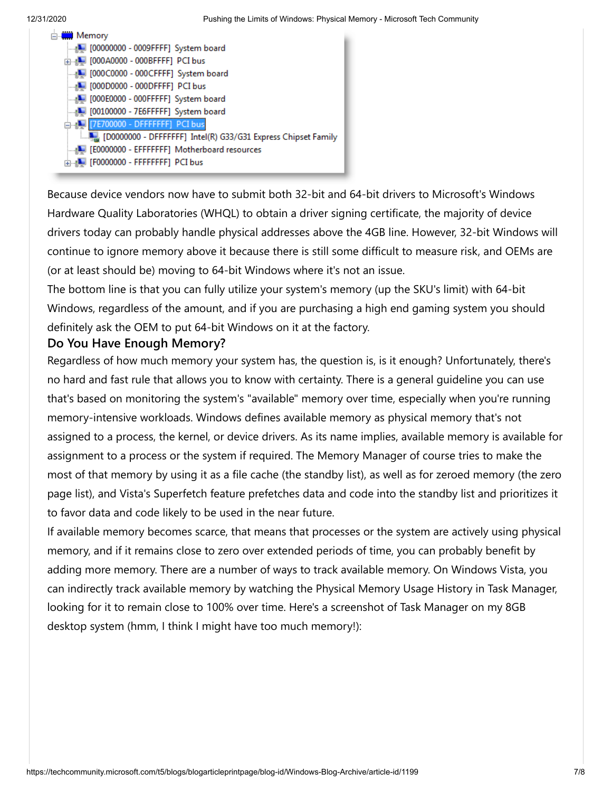and the company

| ⊟ <mark></mark> Memory                                        |
|---------------------------------------------------------------|
| [100000000 - 0009FFFF] System board                           |
| 面 [000A0000 - 000BFFFF] PCI bus                               |
| [1000C0000 - 000CFFFF] System board                           |
|                                                               |
| [1000E0000 - 000FFFFF] System board                           |
| [100100000 - 7E6FFFFF] System board                           |
| E [U] [7E700000 - DFFFFFFFF] PCI bus                          |
| [D0000000 - DFFFFFFF] Intel(R) G33/G31 Express Chipset Family |
| [E0000000 - EFFFFFFF] Motherboard resources                   |
| E-B-T [F0000000 - FFFFFFFFF] PCI bus                          |
|                                                               |

Because device vendors now have to submit both 32-bit and 64-bit drivers to Microsoft's Windows Hardware Quality Laboratories (WHQL) to obtain a driver signing certificate, the majority of device drivers today can probably handle physical addresses above the 4GB line. However, 32-bit Windows will continue to ignore memory above it because there is still some difficult to measure risk, and OEMs are (or at least should be) moving to 64-bit Windows where it's not an issue.

The bottom line is that you can fully utilize your system's memory (up the SKU's limit) with 64-bit Windows, regardless of the amount, and if you are purchasing a high end gaming system you should definitely ask the OEM to put 64-bit Windows on it at the factory.

## **Do You Have Enough Memory?**

Regardless of how much memory your system has, the question is, is it enough? Unfortunately, there's no hard and fast rule that allows you to know with certainty. There is a general guideline you can use that's based on monitoring the system's "available" memory over time, especially when you're running memory-intensive workloads. Windows defines available memory as physical memory that's not assigned to a process, the kernel, or device drivers. As its name implies, available memory is available for assignment to a process or the system if required. The Memory Manager of course tries to make the most of that memory by using it as a file cache (the standby list), as well as for zeroed memory (the zero page list), and Vista's Superfetch feature prefetches data and code into the standby list and prioritizes it to favor data and code likely to be used in the near future.

If available memory becomes scarce, that means that processes or the system are actively using physical memory, and if it remains close to zero over extended periods of time, you can probably benefit by adding more memory. There are a number of ways to track available memory. On Windows Vista, you can indirectly track available memory by watching the Physical Memory Usage History in Task Manager, looking for it to remain close to 100% over time. Here's a screenshot of Task Manager on my 8GB desktop system (hmm, I think I might have too much memory!):